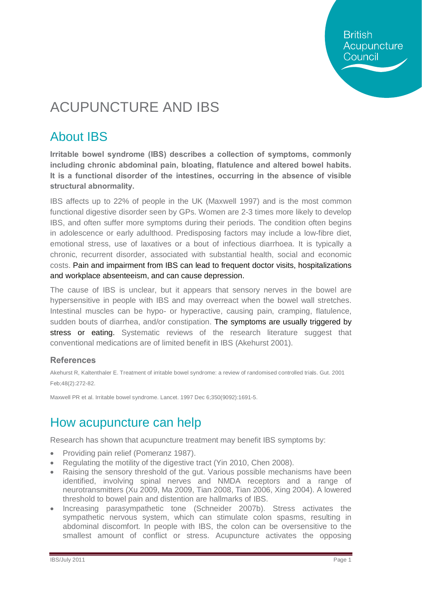**British** Acupuncture Council

# ACUPUNCTURE AND IBS

## About IBS

**Irritable bowel syndrome (IBS) describes a collection of symptoms, commonly including chronic abdominal pain, bloating, flatulence and altered bowel habits. It is a functional disorder of the intestines, occurring in the absence of visible structural abnormality.**

IBS affects up to 22% of people in the UK (Maxwell 1997) and is the most common functional digestive disorder seen by GPs. Women are 2-3 times more likely to develop IBS, and often suffer more symptoms during their periods. The condition often begins in adolescence or early adulthood. Predisposing factors may include a low-fibre diet, emotional stress, use of laxatives or a bout of infectious diarrhoea. It is typically a chronic, recurrent disorder, associated with substantial health, social and economic costs. Pain and impairment from IBS can lead to frequent doctor visits, hospitalizations and workplace absenteeism, and can cause depression.

The cause of IBS is unclear, but it appears that sensory nerves in the bowel are hypersensitive in people with IBS and may overreact when the bowel wall stretches. Intestinal muscles can be hypo- or hyperactive, causing pain, cramping, flatulence, sudden bouts of diarrhea, and/or constipation. The symptoms are usually triggered by stress or eating. Systematic reviews of the research literature suggest that conventional medications are of limited benefit in IBS (Akehurst 2001).

### **References**

Akehurst R, Kaltenthaler E. Treatment of irritable bowel syndrome: a review of randomised controlled trials. Gut. 2001 Feb;48(2):272-82.

Maxwell PR et al. Irritable bowel syndrome. Lancet. 1997 Dec 6;350(9092):1691-5.

# How acupuncture can help

Research has shown that acupuncture treatment may benefit IBS symptoms by:

- · Providing pain relief (Pomeranz 1987).
- Regulating the motility of the digestive tract (Yin 2010, Chen 2008).
- · Raising the sensory threshold of the gut. Various possible mechanisms have been identified, involving spinal nerves and NMDA receptors and a range of neurotransmitters (Xu 2009, Ma 2009, Tian 2008, Tian 2006, Xing 2004). A lowered threshold to bowel pain and distention are hallmarks of IBS.
- · Increasing parasympathetic tone (Schneider 2007b). Stress activates the sympathetic nervous system, which can stimulate colon spasms, resulting in abdominal discomfort. In people with IBS, the colon can be oversensitive to the smallest amount of conflict or stress. Acupuncture activates the opposing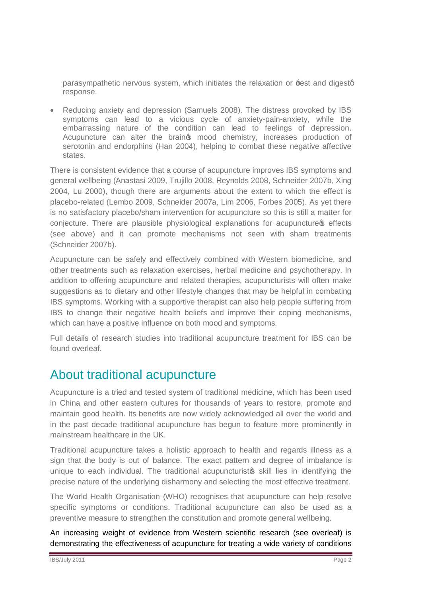parasympathetic nervous system, which initiates the relaxation or  $\pm$ est and digestg response.

· Reducing anxiety and depression (Samuels 2008). The distress provoked by IBS symptoms can lead to a vicious cycle of anxiety-pain-anxiety, while the embarrassing nature of the condition can lead to feelings of depression. Acupuncture can alter the braings mood chemistry, increases production of serotonin and endorphins (Han 2004), helping to combat these negative affective states.

There is consistent evidence that a course of acupuncture improves IBS symptoms and general wellbeing (Anastasi 2009, Trujillo 2008, Reynolds 2008, Schneider 2007b, Xing 2004, Lu 2000), though there are arguments about the extent to which the effect is placebo-related (Lembo 2009, Schneider 2007a, Lim 2006, Forbes 2005). As yet there is no satisfactory placebo/sham intervention for acupuncture so this is still a matter for conjecture. There are plausible physiological explanations for acupuncture of effects (see above) and it can promote mechanisms not seen with sham treatments (Schneider 2007b).

Acupuncture can be safely and effectively combined with Western biomedicine, and other treatments such as relaxation exercises, herbal medicine and psychotherapy. In addition to offering acupuncture and related therapies, acupuncturists will often make suggestions as to dietary and other lifestyle changes that may be helpful in combating IBS symptoms. Working with a supportive therapist can also help people suffering from IBS to change their negative health beliefs and improve their coping mechanisms, which can have a positive influence on both mood and symptoms.

Full details of research studies into traditional acupuncture treatment for IBS can be found overleaf.

### About traditional acupuncture

Acupuncture is a tried and tested system of traditional medicine, which has been used in China and other eastern cultures for thousands of years to restore, promote and maintain good health. Its benefits are now widely acknowledged all over the world and in the past decade traditional acupuncture has begun to feature more prominently in mainstream healthcare in the UK.

Traditional acupuncture takes a holistic approach to health and regards illness as a sign that the body is out of balance. The exact pattern and degree of imbalance is unique to each individual. The traditional acupuncturisto skill lies in identifying the precise nature of the underlying disharmony and selecting the most effective treatment.

The World Health Organisation (WHO) recognises that acupuncture can help resolve specific symptoms or conditions. Traditional acupuncture can also be used as a preventive measure to strengthen the constitution and promote general wellbeing.

An increasing weight of evidence from Western scientific research (see overleaf) is demonstrating the effectiveness of acupuncture for treating a wide variety of conditions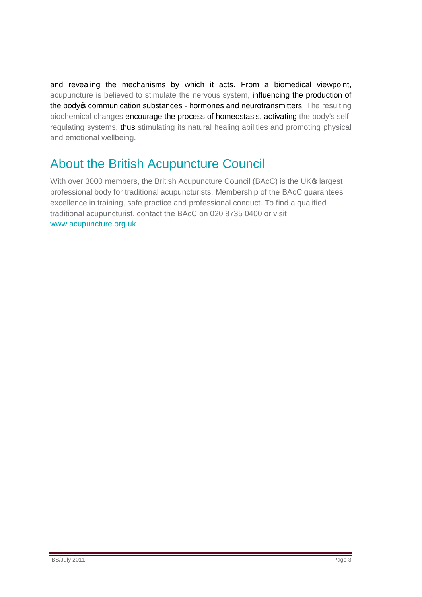and revealing the mechanisms by which it acts. From a biomedical viewpoint, acupuncture is believed to stimulate the nervous system, influencing the production of the body os communication substances - hormones and neurotransmitters. The resulting biochemical changes encourage the process of homeostasis, activating the body's selfregulating systems, thus stimulating its natural healing abilities and promoting physical and emotional wellbeing.

# About the British Acupuncture Council

With over 3000 members, the British Acupuncture Council (BAcC) is the UK® largest professional body for traditional acupuncturists. Membership of the BAcC guarantees excellence in training, safe practice and professional conduct. To find a qualified traditional acupuncturist, contact the BAcC on 020 8735 0400 or visit [www.acupuncture.org.uk](http://www.acupuncture.org.uk/)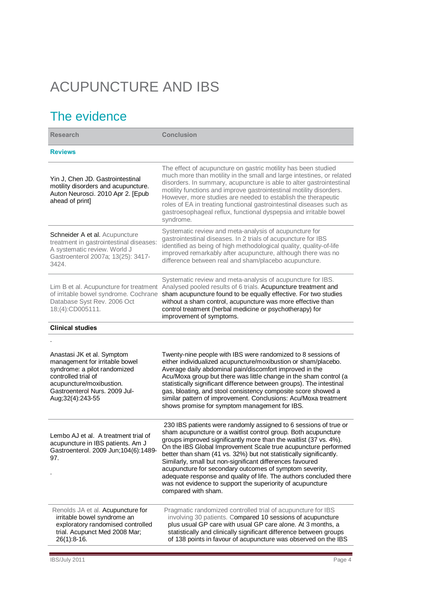# ACUPUNCTURE AND IBS

# The evidence

| <b>Research</b>                                                                                                                                                                                        | <b>Conclusion</b>                                                                                                                                                                                                                                                                                                                                                                                                                                                                                                                                                                                                                  |
|--------------------------------------------------------------------------------------------------------------------------------------------------------------------------------------------------------|------------------------------------------------------------------------------------------------------------------------------------------------------------------------------------------------------------------------------------------------------------------------------------------------------------------------------------------------------------------------------------------------------------------------------------------------------------------------------------------------------------------------------------------------------------------------------------------------------------------------------------|
| <b>Reviews</b>                                                                                                                                                                                         |                                                                                                                                                                                                                                                                                                                                                                                                                                                                                                                                                                                                                                    |
| Yin J, Chen JD. Gastrointestinal<br>motility disorders and acupuncture.<br>Auton Neurosci. 2010 Apr 2. [Epub<br>ahead of print]                                                                        | The effect of acupuncture on gastric motility has been studied<br>much more than motility in the small and large intestines, or related<br>disorders. In summary, acupuncture is able to alter gastrointestinal<br>motility functions and improve gastrointestinal motility disorders.<br>However, more studies are needed to establish the therapeutic<br>roles of EA in treating functional gastrointestinal diseases such as<br>gastroesophageal reflux, functional dyspepsia and irritable bowel<br>syndrome.                                                                                                                  |
| Schneider A et al. Acupuncture<br>treatment in gastrointestinal diseases:<br>A systematic review. World J<br>Gastroenterol 2007a; 13(25): 3417-<br>3424.                                               | Systematic review and meta-analysis of acupuncture for<br>gastrointestinal diseases. In 2 trials of acupuncture for IBS<br>identified as being of high methodological quality, quality-of-life<br>improved remarkably after acupuncture, although there was no<br>difference between real and sham/placebo acupuncture.                                                                                                                                                                                                                                                                                                            |
| of irritable bowel syndrome. Cochrane<br>Database Syst Rev. 2006 Oct<br>18;(4):CD005111.                                                                                                               | Systematic review and meta-analysis of acupuncture for IBS.<br>Lim B et al. Acupuncture for treatment Analysed pooled results of 6 trials. Acupuncture treatment and<br>sham acupuncture found to be equally effective. For two studies<br>without a sham control, acupuncture was more effective than<br>control treatment (herbal medicine or psychotherapy) for<br>improvement of symptoms.                                                                                                                                                                                                                                     |
| <b>Clinical studies</b>                                                                                                                                                                                |                                                                                                                                                                                                                                                                                                                                                                                                                                                                                                                                                                                                                                    |
| Anastasi JK et al. Symptom<br>management for irritable bowel<br>syndrome: a pilot randomized<br>controlled trial of<br>acupuncture/moxibustion.<br>Gastroenterol Nurs, 2009 Jul-<br>Aug; 32(4): 243-55 | Twenty-nine people with IBS were randomized to 8 sessions of<br>either individualized acupuncture/moxibustion or sham/placebo.<br>Average daily abdominal pain/discomfort improved in the<br>Acu/Moxa group but there was little change in the sham control (a<br>statistically significant difference between groups). The intestinal<br>gas, bloating, and stool consistency composite score showed a<br>similar pattern of improvement. Conclusions: Acu/Moxa treatment<br>shows promise for symptom management for IBS.                                                                                                        |
| Lembo AJ et al. A treatment trial of<br>acupuncture in IBS patients. Am J<br>Gastroenterol. 2009 Jun; 104(6): 1489-<br>97.                                                                             | 230 IBS patients were randomly assigned to 6 sessions of true or<br>sham acupuncture or a waitlist control group. Both acupuncture<br>groups improved significantly more than the waitlist (37 vs. 4%).<br>On the IBS Global Improvement Scale true acupuncture performed<br>better than sham (41 vs. 32%) but not statistically significantly.<br>Similarly, small but non-significant differences favoured<br>acupuncture for secondary outcomes of symptom severity,<br>adequate response and quality of life. The authors concluded there<br>was not evidence to support the superiority of acupuncture<br>compared with sham. |
| Renolds JA et al. Acupuncture for<br>irritable bowel syndrome an<br>exploratory randomised controlled<br>trial. Acupunct Med 2008 Mar;<br>$26(1):8-16.$                                                | Pragmatic randomized controlled trial of acupuncture for IBS<br>involving 30 patients. Compared 10 sessions of acupuncture<br>plus usual GP care with usual GP care alone. At 3 months, a<br>statistically and clinically significant difference between groups<br>of 138 points in favour of acupuncture was observed on the IBS                                                                                                                                                                                                                                                                                                  |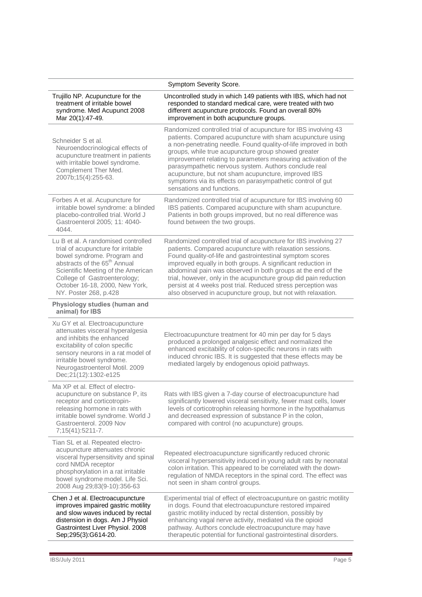| Symptom Severity Score.                                                                                                                                                                                                                                                               |                                                                                                                                                                                                                                                                                                                                                                                                                                                                                                                                       |  |
|---------------------------------------------------------------------------------------------------------------------------------------------------------------------------------------------------------------------------------------------------------------------------------------|---------------------------------------------------------------------------------------------------------------------------------------------------------------------------------------------------------------------------------------------------------------------------------------------------------------------------------------------------------------------------------------------------------------------------------------------------------------------------------------------------------------------------------------|--|
| Trujillo NP. Acupuncture for the<br>treatment of irritable bowel<br>syndrome. Med Acupunct 2008<br>Mar 20(1):47-49.                                                                                                                                                                   | Uncontrolled study in which 149 patients with IBS, which had not<br>responded to standard medical care, were treated with two<br>different acupuncture protocols. Found an overall 80%<br>improvement in both acupuncture groups.                                                                                                                                                                                                                                                                                                     |  |
| Schneider S et al.<br>Neuroendocrinological effects of<br>acupuncture treatment in patients<br>with irritable bowel syndrome.<br>Complement Ther Med.<br>2007b;15(4):255-63.                                                                                                          | Randomized controlled trial of acupuncture for IBS involving 43<br>patients. Compared acupuncture with sham acupuncture using<br>a non-penetrating needle. Found quality-of-life improved in both<br>groups, while true acupuncture group showed greater<br>improvement relating to parameters measuring activation of the<br>parasympathetic nervous system. Authors conclude real<br>acupuncture, but not sham acupuncture, improved IBS<br>symptoms via its effects on parasympathetic control of gut<br>sensations and functions. |  |
| Forbes A et al. Acupuncture for<br>irritable bowel syndrome: a blinded<br>placebo-controlled trial. World J<br>Gastroenterol 2005; 11: 4040-<br>4044.                                                                                                                                 | Randomized controlled trial of acupuncture for IBS involving 60<br>IBS patients. Compared acupuncture with sham acupuncture.<br>Patients in both groups improved, but no real difference was<br>found between the two groups.                                                                                                                                                                                                                                                                                                         |  |
| Lu B et al. A randomised controlled<br>trial of acupuncture for irritable<br>bowel syndrome. Program and<br>abstracts of the 65 <sup>th</sup> Annual<br>Scientific Meeting of the American<br>College of Gastroenterology;<br>October 16-18, 2000, New York,<br>NY. Poster 268, p.428 | Randomized controlled trial of acupuncture for IBS involving 27<br>patients. Compared acupuncture with relaxation sessions.<br>Found quality-of-life and gastrointestinal symptom scores<br>improved equally in both groups. A significant reduction in<br>abdominal pain was observed in both groups at the end of the<br>trial, however, only in the acupuncture group did pain reduction<br>persist at 4 weeks post trial. Reduced stress perception was<br>also observed in acupuncture group, but not with relaxation.           |  |
| Physiology studies (human and<br>animal) for IBS                                                                                                                                                                                                                                      |                                                                                                                                                                                                                                                                                                                                                                                                                                                                                                                                       |  |
| Xu GY et al. Electroacupuncture<br>attenuates visceral hyperalgesia<br>and inhibits the enhanced<br>excitability of colon specific<br>sensory neurons in a rat model of<br>irritable bowel syndrome.<br>Neurogastroenterol Motil. 2009<br>Dec; 21(12): 1302-e125                      | Electroacupuncture treatment for 40 min per day for 5 days<br>produced a prolonged analgesic effect and normalized the<br>enhanced excitability of colon-specific neurons in rats with<br>induced chronic IBS. It is suggested that these effects may be<br>mediated largely by endogenous opioid pathways.                                                                                                                                                                                                                           |  |
| Ma XP et al. Effect of electro-<br>acupuncture on substance P, its<br>receptor and corticotropin-<br>releasing hormone in rats with<br>irritable bowel syndrome. World J<br>Gastroenterol. 2009 Nov<br>7;15(41):5211-7.                                                               | Rats with IBS given a 7-day course of electroacupuncture had<br>significantly lowered visceral sensitivity, fewer mast cells, lower<br>levels of corticotrophin releasing hormone in the hypothalamus<br>and decreased expression of substance P in the colon,<br>compared with control (no acupuncture) groups.                                                                                                                                                                                                                      |  |
| Tian SL et al. Repeated electro-<br>acupuncture attenuates chronic<br>visceral hypersensitivity and spinal<br>cord NMDA receptor<br>phosphorylation in a rat irritable<br>bowel syndrome model. Life Sci.<br>2008 Aug 29;83(9-10):356-63                                              | Repeated electroacupuncture significantly reduced chronic<br>visceral hypersensitivity induced in young adult rats by neonatal<br>colon irritation. This appeared to be correlated with the down-<br>regulation of NMDA receptors in the spinal cord. The effect was<br>not seen in sham control groups.                                                                                                                                                                                                                              |  |
| Chen J et al. Electroacupuncture<br>improves impaired gastric motility<br>and slow waves induced by rectal<br>distension in dogs. Am J Physiol<br>Gastrointest Liver Physiol. 2008<br>Sep;295(3):G614-20.                                                                             | Experimental trial of effect of electroacupunture on gastric motility<br>in dogs. Found that electroacupuncture restored impaired<br>gastric motility induced by rectal distention, possibly by<br>enhancing vagal nerve activity, mediated via the opioid<br>pathway. Authors conclude electroacupuncture may have<br>therapeutic potential for functional gastrointestinal disorders.                                                                                                                                               |  |